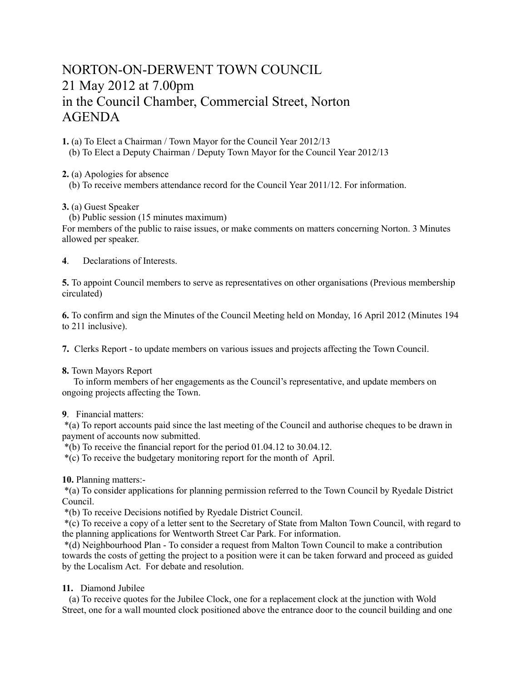# NORTON-ON-DERWENT TOWN COUNCIL 21 May 2012 at 7.00pm in the Council Chamber, Commercial Street, Norton AGENDA

**1.** (a) To Elect a Chairman / Town Mayor for the Council Year 2012/13 (b) To Elect a Deputy Chairman / Deputy Town Mayor for the Council Year 2012/13

**2.** (a) Apologies for absence

(b) To receive members attendance record for the Council Year 2011/12. For information.

**3.** (a) Guest Speaker

(b) Public session (15 minutes maximum)

For members of the public to raise issues, or make comments on matters concerning Norton. 3 Minutes allowed per speaker.

**4**. Declarations of Interests.

**5.** To appoint Council members to serve as representatives on other organisations (Previous membership circulated)

**6.** To confirm and sign the Minutes of the Council Meeting held on Monday, 16 April 2012 (Minutes 194 to 211 inclusive).

**7.** Clerks Report - to update members on various issues and projects affecting the Town Council.

**8.** Town Mayors Report

 To inform members of her engagements as the Council's representative, and update members on ongoing projects affecting the Town.

# **9**. Financial matters:

 \*(a) To report accounts paid since the last meeting of the Council and authorise cheques to be drawn in payment of accounts now submitted.

\*(b) To receive the financial report for the period 01.04.12 to 30.04.12.

\*(c) To receive the budgetary monitoring report for the month of April.

**10.** Planning matters:-

 \*(a) To consider applications for planning permission referred to the Town Council by Ryedale District Council.

\*(b) To receive Decisions notified by Ryedale District Council.

 \*(c) To receive a copy of a letter sent to the Secretary of State from Malton Town Council, with regard to the planning applications for Wentworth Street Car Park. For information.

 \*(d) Neighbourhood Plan - To consider a request from Malton Town Council to make a contribution towards the costs of getting the project to a position were it can be taken forward and proceed as guided by the Localism Act. For debate and resolution.

## **11.** Diamond Jubilee

 (a) To receive quotes for the Jubilee Clock, one for a replacement clock at the junction with Wold Street, one for a wall mounted clock positioned above the entrance door to the council building and one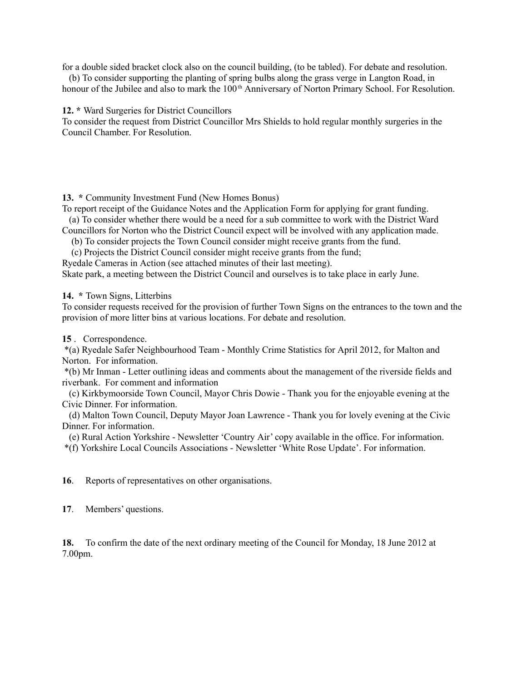for a double sided bracket clock also on the council building, (to be tabled). For debate and resolution.

 (b) To consider supporting the planting of spring bulbs along the grass verge in Langton Road, in honour of the Jubilee and also to mark the 100<sup>th</sup> Anniversary of Norton Primary School. For Resolution.

#### **12. \*** Ward Surgeries for District Councillors

To consider the request from District Councillor Mrs Shields to hold regular monthly surgeries in the Council Chamber. For Resolution.

## **13. \*** Community Investment Fund (New Homes Bonus)

To report receipt of the Guidance Notes and the Application Form for applying for grant funding. (a) To consider whether there would be a need for a sub committee to work with the District Ward

Councillors for Norton who the District Council expect will be involved with any application made.

(b) To consider projects the Town Council consider might receive grants from the fund.

(c) Projects the District Council consider might receive grants from the fund;

Ryedale Cameras in Action (see attached minutes of their last meeting).

Skate park, a meeting between the District Council and ourselves is to take place in early June.

# 14. \* Town Signs, Litterbins

To consider requests received for the provision of further Town Signs on the entrances to the town and the provision of more litter bins at various locations. For debate and resolution.

# **15** . Correspondence.

 \*(a) Ryedale Safer Neighbourhood Team - Monthly Crime Statistics for April 2012, for Malton and Norton. For information.

 \*(b) Mr Inman - Letter outlining ideas and comments about the management of the riverside fields and riverbank. For comment and information

 (c) Kirkbymoorside Town Council, Mayor Chris Dowie - Thank you for the enjoyable evening at the Civic Dinner. For information.

 (d) Malton Town Council, Deputy Mayor Joan Lawrence - Thank you for lovely evening at the Civic Dinner. For information.

(e) Rural Action Yorkshire - Newsletter 'Country Air' copy available in the office. For information.

\*(f) Yorkshire Local Councils Associations - Newsletter 'White Rose Update'. For information.

**16**. Reports of representatives on other organisations.

**17**. Members' questions.

**18.** To confirm the date of the next ordinary meeting of the Council for Monday, 18 June 2012 at 7.00pm.